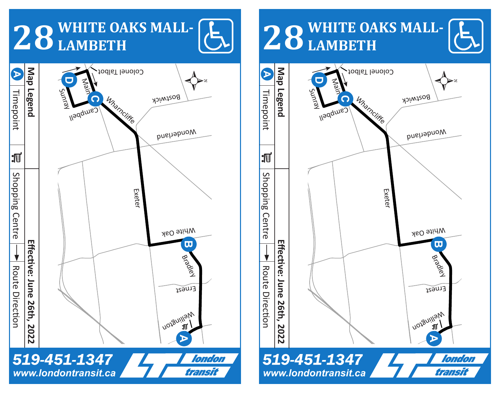## **28 WHITE OAKS MALL-LAMBETH**



## **28 WHITE OAKS MALL-LAMBETH**